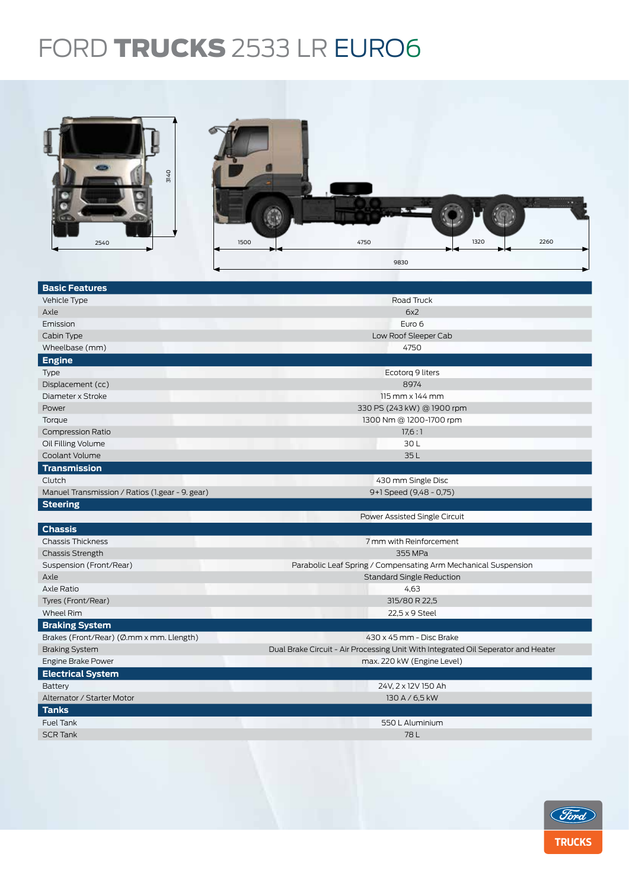## FORD TRUCKS 2533 LR EURO6



| <b>Basic Features</b>                           |                                                                                   |  |  |  |
|-------------------------------------------------|-----------------------------------------------------------------------------------|--|--|--|
| Vehicle Type                                    | Road Truck                                                                        |  |  |  |
| Axle                                            | 6x2                                                                               |  |  |  |
| Emission                                        | Euro 6                                                                            |  |  |  |
| Cabin Type                                      | Low Roof Sleeper Cab                                                              |  |  |  |
| Wheelbase (mm)                                  | 4750                                                                              |  |  |  |
| <b>Engine</b>                                   |                                                                                   |  |  |  |
| <b>Type</b>                                     | Ecotorg 9 liters                                                                  |  |  |  |
| Displacement (cc)                               | 8974                                                                              |  |  |  |
| Diameter x Stroke                               | $115$ mm $\times$ 144 mm                                                          |  |  |  |
| Power                                           | 330 PS (243 kW) @ 1900 rpm                                                        |  |  |  |
| Torque                                          | 1300 Nm @ 1200-1700 rpm                                                           |  |  |  |
| <b>Compression Ratio</b>                        | 17.6:1                                                                            |  |  |  |
| Oil Filling Volume                              | 30L                                                                               |  |  |  |
| Coolant Volume                                  | 35L                                                                               |  |  |  |
| <b>Transmission</b>                             |                                                                                   |  |  |  |
| Clutch                                          | 430 mm Single Disc                                                                |  |  |  |
| Manuel Transmission / Ratios (1.gear - 9. gear) | 9+1 Speed (9,48 - 0,75)                                                           |  |  |  |
| <b>Steering</b>                                 |                                                                                   |  |  |  |
|                                                 | Power Assisted Single Circuit                                                     |  |  |  |
| <b>Chassis</b>                                  |                                                                                   |  |  |  |
| <b>Chassis Thickness</b>                        | 7 mm with Reinforcement                                                           |  |  |  |
| <b>Chassis Strength</b>                         | 355 MPa                                                                           |  |  |  |
| Suspension (Front/Rear)                         | Parabolic Leaf Spring / Compensating Arm Mechanical Suspension                    |  |  |  |
| Axle                                            | <b>Standard Single Reduction</b>                                                  |  |  |  |
| Axle Ratio                                      | 4,63                                                                              |  |  |  |
| Tyres (Front/Rear)                              | 315/80 R 22,5                                                                     |  |  |  |
| <b>Wheel Rim</b>                                | 22,5 x 9 Steel                                                                    |  |  |  |
| <b>Braking System</b>                           |                                                                                   |  |  |  |
| Brakes (Front/Rear) (Ø.mm x mm. Llength)        | 430 x 45 mm - Disc Brake                                                          |  |  |  |
| <b>Braking System</b>                           | Dual Brake Circuit - Air Processing Unit With Integrated Oil Seperator and Heater |  |  |  |
| Engine Brake Power                              | max. 220 kW (Engine Level)                                                        |  |  |  |
| <b>Electrical System</b>                        |                                                                                   |  |  |  |
| Battery                                         | 24V, 2 x 12V 150 Ah                                                               |  |  |  |
| Alternator / Starter Motor                      | 130 A / 6,5 kW                                                                    |  |  |  |
| <b>Tanks</b>                                    |                                                                                   |  |  |  |
| <b>Fuel Tank</b>                                | 550 L Aluminium                                                                   |  |  |  |
| <b>SCR Tank</b>                                 | 78L                                                                               |  |  |  |
|                                                 |                                                                                   |  |  |  |
|                                                 |                                                                                   |  |  |  |